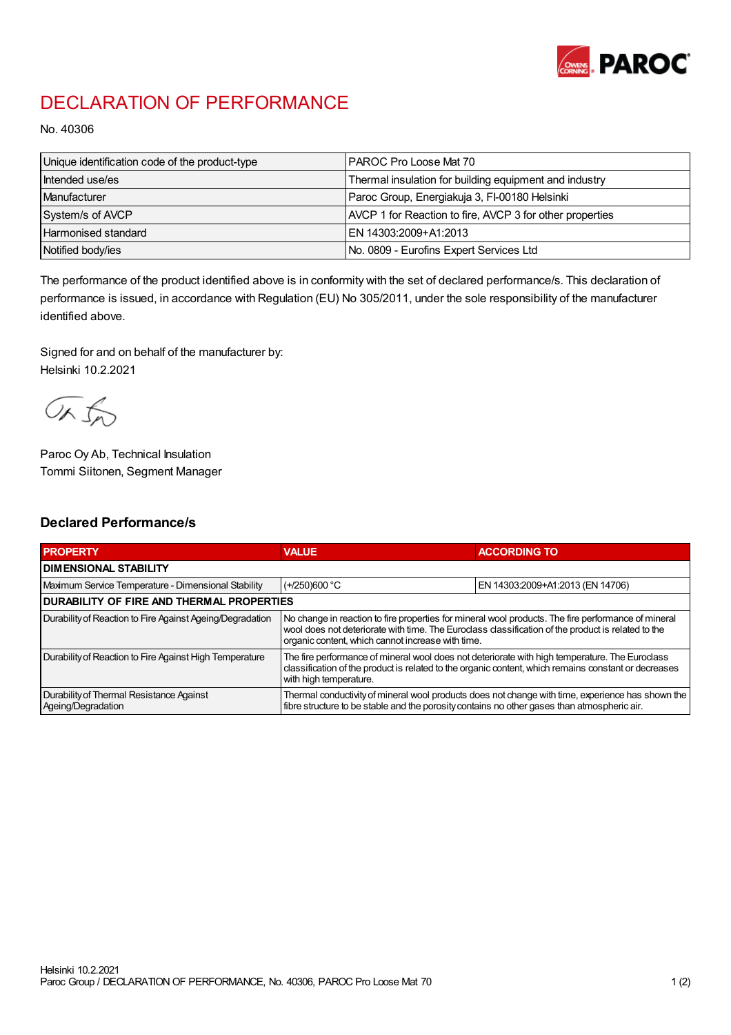

## DECLARATION OF PERFORMANCE

No. 40306

| Unique identification code of the product-type | I PAROC Pro Loose Mat 70                                 |
|------------------------------------------------|----------------------------------------------------------|
| Intended use/es                                | Thermal insulation for building equipment and industry   |
| Manufacturer                                   | Paroc Group, Energiakuja 3, FI-00180 Helsinki            |
| System/s of AVCP                               | AVCP 1 for Reaction to fire, AVCP 3 for other properties |
| <b>Harmonised standard</b>                     | EN 14303:2009+A1:2013                                    |
| Notified body/ies                              | No. 0809 - Eurofins Expert Services Ltd                  |

The performance of the product identified above is in conformity with the set of declared performance/s. This declaration of performance is issued, in accordance with Regulation (EU) No 305/2011, under the sole responsibility of the manufacturer identified above.

Signed for and on behalf of the manufacturer by: Helsinki 10.2.2021

ORJO

Paroc Oy Ab, Technical Insulation Tommi Siitonen, Segment Manager

## Declared Performance/s

| <b>PROPERTY</b>                                                | <b>VALUE</b>                                                                                                                                                                                                                                                   | <b>ACCORDING TO</b>              |  |  |
|----------------------------------------------------------------|----------------------------------------------------------------------------------------------------------------------------------------------------------------------------------------------------------------------------------------------------------------|----------------------------------|--|--|
| I DIMENSIONAL STABILITY                                        |                                                                                                                                                                                                                                                                |                                  |  |  |
| Maximum Service Temperature - Dimensional Stability            | $(+/250)600$ °C                                                                                                                                                                                                                                                | EN 14303:2009+A1:2013 (EN 14706) |  |  |
| DURABILITY OF FIRE AND THERMAL PROPERTIES                      |                                                                                                                                                                                                                                                                |                                  |  |  |
| Durability of Reaction to Fire Against Ageing/Degradation      | No change in reaction to fire properties for mineral wool products. The fire performance of mineral<br>wool does not deteriorate with time. The Euroclass classification of the product is related to the<br>organic content, which cannot increase with time. |                                  |  |  |
| Durability of Reaction to Fire Against High Temperature        | The fire performance of mineral wool does not deteriorate with high temperature. The Eurodass<br>classification of the product is related to the organic content, which remains constant or decreases<br>with high temperature.                                |                                  |  |  |
| Durability of Thermal Resistance Against<br>Ageing/Degradation | Thermal conductivity of mineral wool products does not change with time, experience has shown the<br>fibre structure to be stable and the porosity contains no other gases than atmospheric air.                                                               |                                  |  |  |